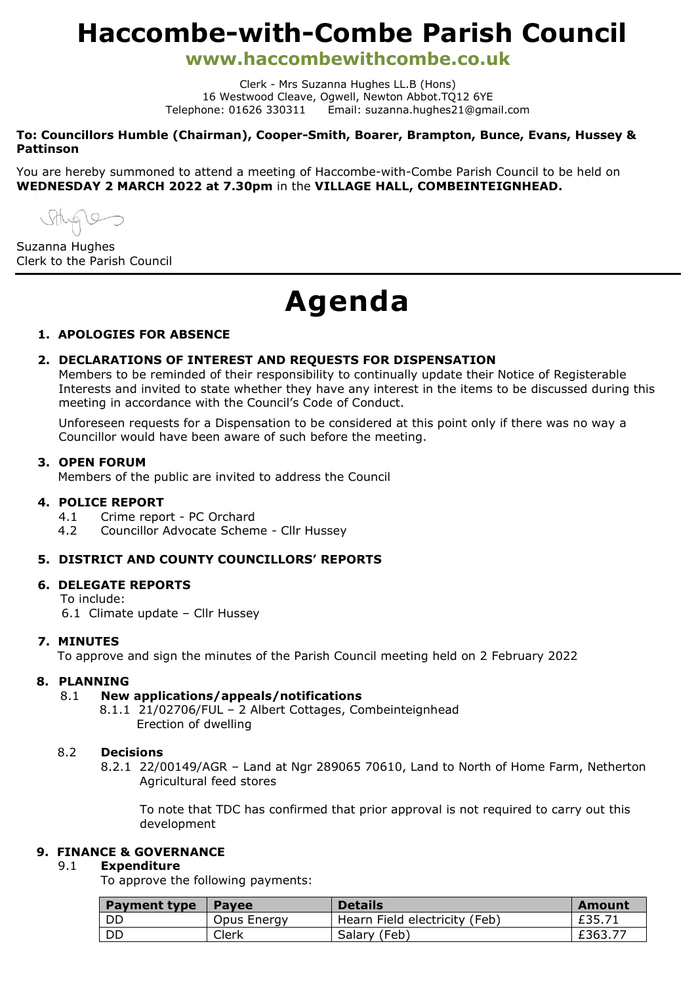# **Haccombe-with-Combe Parish Council**

**www.haccombewithcombe.co.uk**

Clerk - Mrs Suzanna Hughes LL.B (Hons) 16 Westwood Cleave, Ogwell, Newton Abbot.TQ12 6YE Telephone: 01626 330311 Email: suzanna.hughes21@gmail.com

**To: Councillors Humble (Chairman), Cooper-Smith, Boarer, Brampton, Bunce, Evans, Hussey & Pattinson**

You are hereby summoned to attend a meeting of Haccombe-with-Combe Parish Council to be held on **WEDNESDAY 2 MARCH 2022 at 7.30pm** in the **VILLAGE HALL, COMBEINTEIGNHEAD.**

 $t\sqrt{9}$ 

Suzanna Hughes Clerk to the Parish Council

# **Agenda**

#### **1. APOLOGIES FOR ABSENCE**

### **2. DECLARATIONS OF INTEREST AND REQUESTS FOR DISPENSATION**

Members to be reminded of their responsibility to continually update their Notice of Registerable Interests and invited to state whether they have any interest in the items to be discussed during this meeting in accordance with the Council's Code of Conduct.

Unforeseen requests for a Dispensation to be considered at this point only if there was no way a Councillor would have been aware of such before the meeting.

#### **3. OPEN FORUM**

Members of the public are invited to address the Council

#### **4. POLICE REPORT**

- 4.1 Crime report PC Orchard
- 4.2 Councillor Advocate Scheme Cllr Hussey

#### **5. DISTRICT AND COUNTY COUNCILLORS' REPORTS**

#### **6. DELEGATE REPORTS**

To include:

6.1 Climate update – Cllr Hussey

#### **7. MINUTES**

To approve and sign the minutes of the Parish Council meeting held on 2 February 2022

#### **8. PLANNING**

#### 8.1 **New applications/appeals/notifications**

 8.1.1 21/02706/FUL – 2 Albert Cottages, Combeinteignhead Erection of dwelling

#### 8.2 **Decisions**

8.2.1 22/00149/AGR – Land at Ngr 289065 70610, Land to North of Home Farm, Netherton Agricultural feed stores

To note that TDC has confirmed that prior approval is not required to carry out this development

# **9. FINANCE & GOVERNANCE**

#### 9.1 **Expenditure**

To approve the following payments:

| <b>Payment type</b> | <b>Pavee</b> | <b>Details</b>                | Amount |
|---------------------|--------------|-------------------------------|--------|
| - DD                | Opus Energy  | Hearn Field electricity (Feb) | £35.71 |
| DD                  | Clerk        | Salary (Feb)                  | £363.7 |